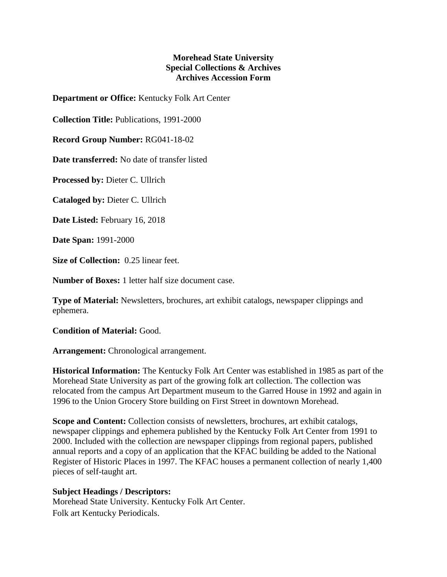## **Morehead State University Special Collections & Archives Archives Accession Form**

**Department or Office:** Kentucky Folk Art Center

**Collection Title:** Publications, 1991-2000

**Record Group Number:** RG041-18-02

**Date transferred:** No date of transfer listed

**Processed by:** Dieter C. Ullrich

**Cataloged by:** Dieter C. Ullrich

**Date Listed:** February 16, 2018

**Date Span:** 1991-2000

**Size of Collection:** 0.25 linear feet.

**Number of Boxes:** 1 letter half size document case.

**Type of Material:** Newsletters, brochures, art exhibit catalogs, newspaper clippings and ephemera.

**Condition of Material:** Good.

**Arrangement:** Chronological arrangement.

**Historical Information:** The Kentucky Folk Art Center was established in 1985 as part of the Morehead State University as part of the growing folk art collection. The collection was relocated from the campus Art Department museum to the Garred House in 1992 and again in 1996 to the Union Grocery Store building on First Street in downtown Morehead.

**Scope and Content:** Collection consists of newsletters, brochures, art exhibit catalogs, newspaper clippings and ephemera published by the Kentucky Folk Art Center from 1991 to 2000. Included with the collection are newspaper clippings from regional papers, published annual reports and a copy of an application that the KFAC building be added to the National Register of Historic Places in 1997. The KFAC houses a permanent collection of nearly 1,400 pieces of self-taught art.

## **Subject Headings / Descriptors:**

Morehead State University. Kentucky Folk Art Center. Folk art Kentucky Periodicals.